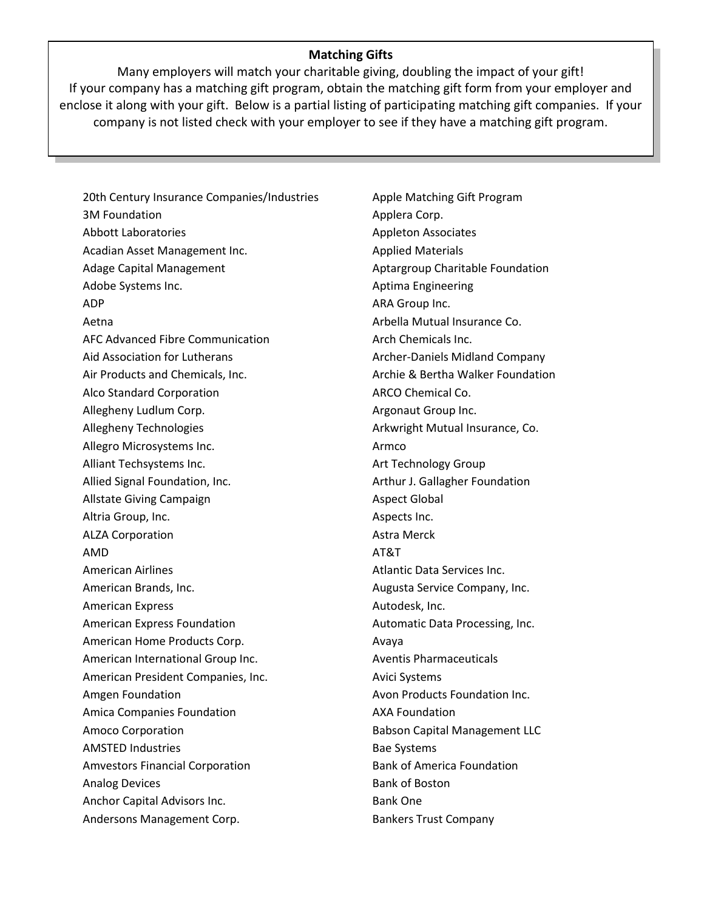## **Matching Gifts**

If your company has a matching gift program, obtain the matching gift form from your employer and enclose it along with your gift. Below is a partial listing of participating matching gift companies. If your company is not listed check with your employer to see if they have a matching gift program. Many employers will match your charitable giving, doubling the impact of your gift!

20th Century Insurance Companies/Industries 3M Foundation Abbott Laboratories Acadian Asset Management Inc. Adage Capital Management Adobe Systems Inc. ADP Aetna AFC Advanced Fibre Communication Aid Association for Lutherans Air Products and Chemicals, Inc. Alco Standard Corporation Allegheny Ludlum Corp. Allegheny Technologies Allegro Microsystems Inc. Alliant Techsystems Inc. Allied Signal Foundation, Inc. Allstate Giving Campaign Altria Group, Inc. ALZA Corporation AMD American Airlines American Brands, Inc. American Express American Express Foundation American Home Products Corp. American International Group Inc. American President Companies, Inc. Amgen Foundation Amica Companies Foundation Amoco Corporation AMSTED Industries Amvestors Financial Corporation Analog Devices Anchor Capital Advisors Inc. Andersons Management Corp.

Apple Matching Gift Program Applera Corp. Appleton Associates Applied Materials Aptargroup Charitable Foundation Aptima Engineering ARA Group Inc. Arbella Mutual Insurance Co. Arch Chemicals Inc. Archer-Daniels Midland Company Archie & Bertha Walker Foundation ARCO Chemical Co. Argonaut Group Inc. Arkwright Mutual Insurance, Co. Armco Art Technology Group Arthur J. Gallagher Foundation Aspect Global Aspects Inc. Astra Merck AT&T Atlantic Data Services Inc. Augusta Service Company, Inc. Autodesk, Inc. Automatic Data Processing, Inc. Avaya Aventis Pharmaceuticals Avici Systems Avon Products Foundation Inc. AXA Foundation Babson Capital Management LLC Bae Systems Bank of America Foundation Bank of Boston Bank One Bankers Trust Company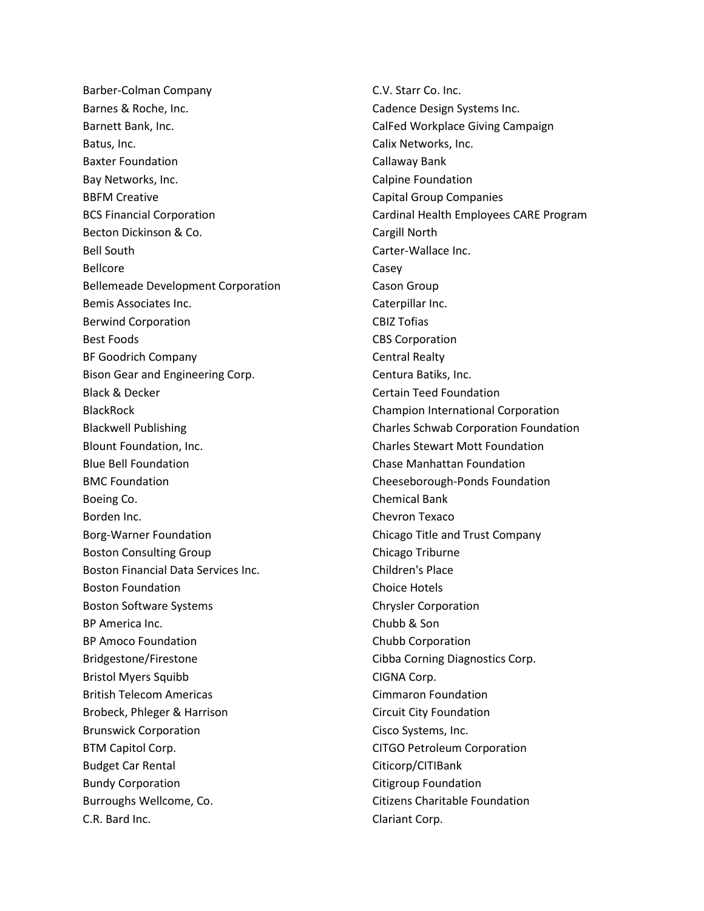Barber-Colman Company Barnes & Roche, Inc. Barnett Bank, Inc. Batus, Inc. Baxter Foundation Bay Networks, Inc. BBFM Creative BCS Financial Corporation Becton Dickinson & Co. Bell South Bellcore Bellemeade Development Corporation Bemis Associates Inc. Berwind Corporation Best Foods BF Goodrich Company Bison Gear and Engineering Corp. Black & Decker BlackRock Blackwell Publishing Blount Foundation, Inc. Blue Bell Foundation BMC Foundation Boeing Co. Borden Inc. Borg-Warner Foundation Boston Consulting Group Boston Financial Data Services Inc. Boston Foundation Boston Software Systems BP America Inc. BP Amoco Foundation Bridgestone/Firestone Bristol Myers Squibb British Telecom Americas Brobeck, Phleger & Harrison Brunswick Corporation BTM Capitol Corp. Budget Car Rental Bundy Corporation Burroughs Wellcome, Co. C.R. Bard Inc.

C.V. Starr Co. Inc. Cadence Design Systems Inc. CalFed Workplace Giving Campaign Calix Networks, Inc. Callaway Bank Calpine Foundation Capital Group Companies Cardinal Health Employees CARE Program Cargill North Carter-Wallace Inc. Casey Cason Group Caterpillar Inc. CBIZ Tofias CBS Corporation Central Realty Centura Batiks, Inc. Certain Teed Foundation Champion International Corporation Charles Schwab Corporation Foundation Charles Stewart Mott Foundation Chase Manhattan Foundation Cheeseborough-Ponds Foundation Chemical Bank Chevron Texaco Chicago Title and Trust Company Chicago Triburne Children's Place Choice Hotels Chrysler Corporation Chubb & Son Chubb Corporation Cibba Corning Diagnostics Corp. CIGNA Corp. Cimmaron Foundation Circuit City Foundation Cisco Systems, Inc. CITGO Petroleum Corporation Citicorp/CITIBank Citigroup Foundation Citizens Charitable Foundation Clariant Corp.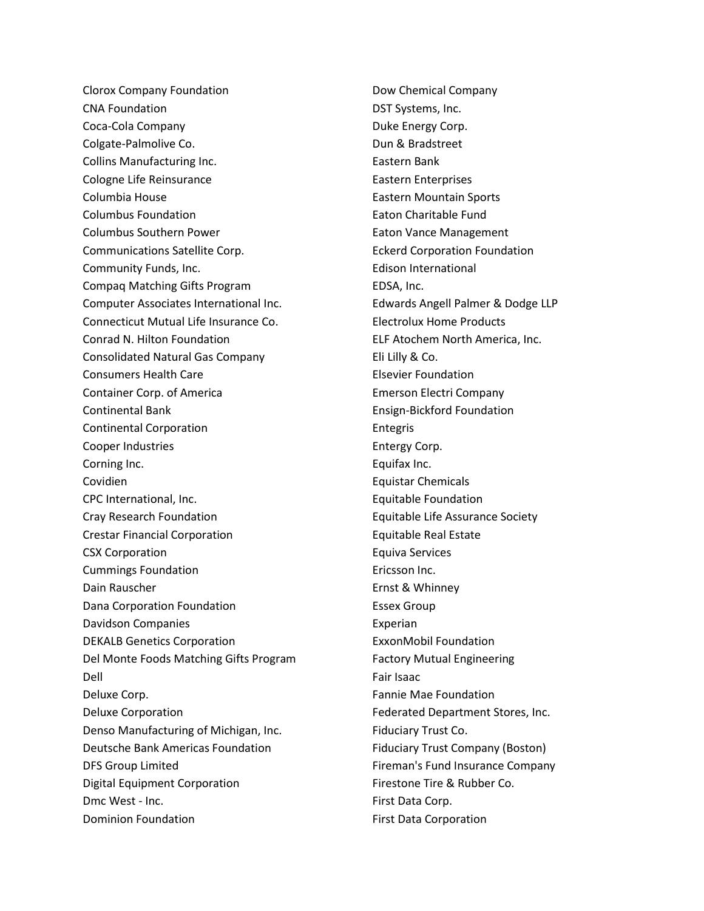Clorox Company Foundation CNA Foundation Coca-Cola Company Colgate-Palmolive Co. Collins Manufacturing Inc. Cologne Life Reinsurance Columbia House Columbus Foundation Columbus Southern Power Communications Satellite Corp. Community Funds, Inc. Compaq Matching Gifts Program Computer Associates International Inc. Connecticut Mutual Life Insurance Co. Conrad N. Hilton Foundation Consolidated Natural Gas Company Consumers Health Care Container Corp. of America Continental Bank Continental Corporation Cooper Industries Corning Inc. Covidien CPC International, Inc. Cray Research Foundation Crestar Financial Corporation CSX Corporation Cummings Foundation Dain Rauscher Dana Corporation Foundation Davidson Companies DEKALB Genetics Corporation Del Monte Foods Matching Gifts Program Dell Deluxe Corp. Deluxe Corporation Denso Manufacturing of Michigan, Inc. Deutsche Bank Americas Foundation DFS Group Limited Digital Equipment Corporation Dmc West - Inc. Dominion Foundation

Dow Chemical Company DST Systems, Inc. Duke Energy Corp. Dun & Bradstreet Eastern Bank Eastern Enterprises Eastern Mountain Sports Eaton Charitable Fund Eaton Vance Management Eckerd Corporation Foundation Edison International EDSA, Inc. Edwards Angell Palmer & Dodge LLP Electrolux Home Products ELF Atochem North America, Inc. Eli Lilly & Co. Elsevier Foundation Emerson Electri Company Ensign-Bickford Foundation Entegris Entergy Corp. Equifax Inc. Equistar Chemicals Equitable Foundation Equitable Life Assurance Society Equitable Real Estate Equiva Services Ericsson Inc. Ernst & Whinney Essex Group Experian ExxonMobil Foundation Factory Mutual Engineering Fair Isaac Fannie Mae Foundation Federated Department Stores, Inc. Fiduciary Trust Co. Fiduciary Trust Company (Boston) Fireman's Fund Insurance Company Firestone Tire & Rubber Co. First Data Corp. First Data Corporation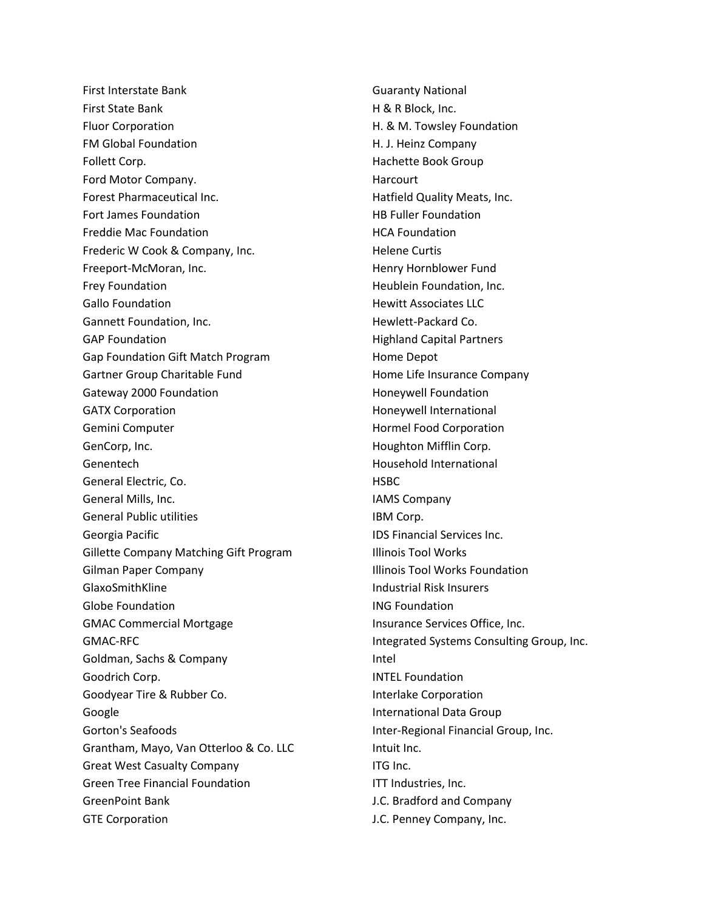First Interstate Bank First State Bank Fluor Corporation FM Global Foundation Follett Corp. Ford Motor Company. Forest Pharmaceutical Inc. Fort James Foundation Freddie Mac Foundation Frederic W Cook & Company, Inc. Freeport-McMoran, Inc. Frey Foundation Gallo Foundation Gannett Foundation, Inc. GAP Foundation Gap Foundation Gift Match Program Gartner Group Charitable Fund Gateway 2000 Foundation GATX Corporation Gemini Computer GenCorp, Inc. Genentech General Electric, Co. General Mills, Inc. General Public utilities Georgia Pacific Gillette Company Matching Gift Program Gilman Paper Company GlaxoSmithKline Globe Foundation GMAC Commercial Mortgage GMAC-RFC Goldman, Sachs & Company Goodrich Corp. Goodyear Tire & Rubber Co. Google Gorton's Seafoods Grantham, Mayo, Van Otterloo & Co. LLC Great West Casualty Company Green Tree Financial Foundation GreenPoint Bank GTE Corporation

Guaranty National H & R Block, Inc. H. & M. Towsley Foundation H. J. Heinz Company Hachette Book Group **Harcourt** Hatfield Quality Meats, Inc. HB Fuller Foundation HCA Foundation Helene Curtis Henry Hornblower Fund Heublein Foundation, Inc. Hewitt Associates LLC Hewlett-Packard Co. Highland Capital Partners Home Depot Home Life Insurance Company Honeywell Foundation Honeywell International Hormel Food Corporation Houghton Mifflin Corp. Household International **HSBC** IAMS Company IBM Corp. IDS Financial Services Inc. Illinois Tool Works Illinois Tool Works Foundation Industrial Risk Insurers ING Foundation Insurance Services Office, Inc. Integrated Systems Consulting Group, Inc. Intel INTEL Foundation Interlake Corporation International Data Group Inter-Regional Financial Group, Inc. Intuit Inc. ITG Inc. ITT Industries, Inc. J.C. Bradford and Company J.C. Penney Company, Inc.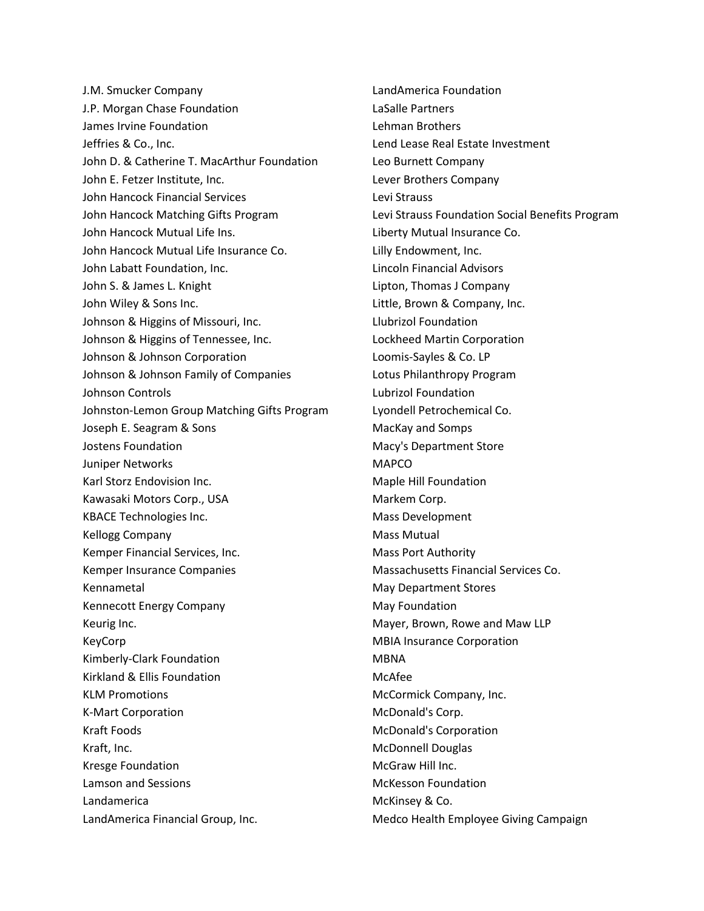J.M. Smucker Company J.P. Morgan Chase Foundation James Irvine Foundation Jeffries & Co., Inc. John D. & Catherine T. MacArthur Foundation John E. Fetzer Institute, Inc. John Hancock Financial Services John Hancock Matching Gifts Program John Hancock Mutual Life Ins. John Hancock Mutual Life Insurance Co. John Labatt Foundation, Inc. John S. & James L. Knight John Wiley & Sons Inc. Johnson & Higgins of Missouri, Inc. Johnson & Higgins of Tennessee, Inc. Johnson & Johnson Corporation Johnson & Johnson Family of Companies Johnson Controls Johnston-Lemon Group Matching Gifts Program Joseph E. Seagram & Sons Jostens Foundation Juniper Networks Karl Storz Endovision Inc. Kawasaki Motors Corp., USA KBACE Technologies Inc. Kellogg Company Kemper Financial Services, Inc. Kemper Insurance Companies Kennametal Kennecott Energy Company Keurig Inc. KeyCorp Kimberly-Clark Foundation Kirkland & Ellis Foundation KLM Promotions K-Mart Corporation Kraft Foods Kraft, Inc. Kresge Foundation Lamson and Sessions Landamerica LandAmerica Financial Group, Inc.

LandAmerica Foundation LaSalle Partners Lehman Brothers Lend Lease Real Estate Investment Leo Burnett Company Lever Brothers Company Levi Strauss Levi Strauss Foundation Social Benefits Program Liberty Mutual Insurance Co. Lilly Endowment, Inc. Lincoln Financial Advisors Lipton, Thomas J Company Little, Brown & Company, Inc. Llubrizol Foundation Lockheed Martin Corporation Loomis-Sayles & Co. LP Lotus Philanthropy Program Lubrizol Foundation Lyondell Petrochemical Co. MacKay and Somps Macy's Department Store MAPCO Maple Hill Foundation Markem Corp. Mass Development Mass Mutual Mass Port Authority Massachusetts Financial Services Co. May Department Stores May Foundation Mayer, Brown, Rowe and Maw LLP MBIA Insurance Corporation MBNA McAfee McCormick Company, Inc. McDonald's Corp. McDonald's Corporation McDonnell Douglas McGraw Hill Inc. McKesson Foundation McKinsey & Co. Medco Health Employee Giving Campaign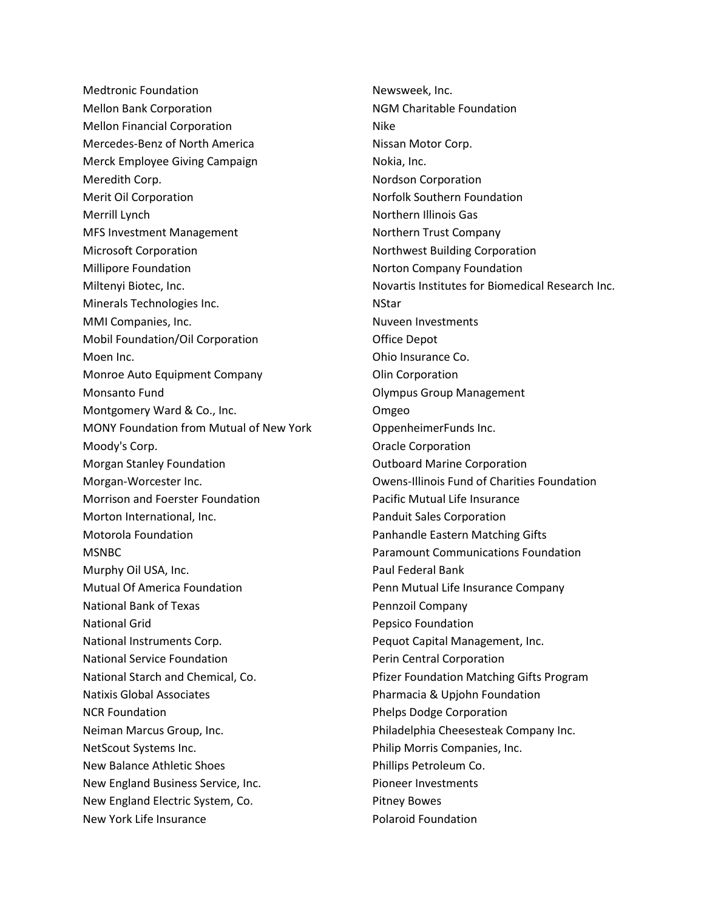Medtronic Foundation Mellon Bank Corporation Mellon Financial Corporation Mercedes-Benz of North America Merck Employee Giving Campaign Meredith Corp. Merit Oil Corporation Merrill Lynch MFS Investment Management Microsoft Corporation Millipore Foundation Miltenyi Biotec, Inc. Minerals Technologies Inc. MMI Companies, Inc. Mobil Foundation/Oil Corporation Moen Inc. Monroe Auto Equipment Company Monsanto Fund Montgomery Ward & Co., Inc. MONY Foundation from Mutual of New York Moody's Corp. Morgan Stanley Foundation Morgan-Worcester Inc. Morrison and Foerster Foundation Morton International, Inc. Motorola Foundation MSNBC Murphy Oil USA, Inc. Mutual Of America Foundation National Bank of Texas National Grid National Instruments Corp. National Service Foundation National Starch and Chemical, Co. Natixis Global Associates NCR Foundation Neiman Marcus Group, Inc. NetScout Systems Inc. New Balance Athletic Shoes New England Business Service, Inc. New England Electric System, Co. New York Life Insurance

Newsweek, Inc. NGM Charitable Foundation Nike Nissan Motor Corp. Nokia, Inc. Nordson Corporation Norfolk Southern Foundation Northern Illinois Gas Northern Trust Company Northwest Building Corporation Norton Company Foundation Novartis Institutes for Biomedical Research Inc. **NStar** Nuveen Investments Office Depot Ohio Insurance Co. Olin Corporation Olympus Group Management Omgeo OppenheimerFunds Inc. Oracle Corporation Outboard Marine Corporation Owens-Illinois Fund of Charities Foundation Pacific Mutual Life Insurance Panduit Sales Corporation Panhandle Eastern Matching Gifts Paramount Communications Foundation Paul Federal Bank Penn Mutual Life Insurance Company Pennzoil Company Pepsico Foundation Pequot Capital Management, Inc. Perin Central Corporation Pfizer Foundation Matching Gifts Program Pharmacia & Upjohn Foundation Phelps Dodge Corporation Philadelphia Cheesesteak Company Inc. Philip Morris Companies, Inc. Phillips Petroleum Co. Pioneer Investments Pitney Bowes Polaroid Foundation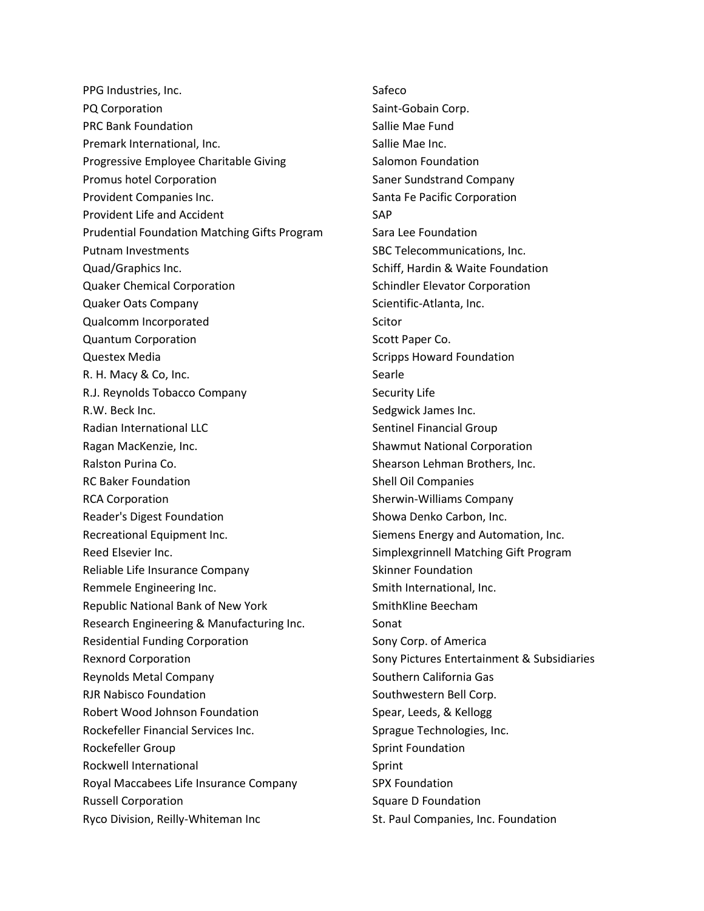PPG Industries, Inc. PQ Corporation PRC Bank Foundation Premark International, Inc. Progressive Employee Charitable Giving Promus hotel Corporation Provident Companies Inc. Provident Life and Accident Prudential Foundation Matching Gifts Program Putnam Investments Quad/Graphics Inc. Quaker Chemical Corporation Quaker Oats Company Qualcomm Incorporated Quantum Corporation Questex Media R. H. Macy & Co, Inc. R.J. Reynolds Tobacco Company R.W. Beck Inc. Radian International LLC Ragan MacKenzie, Inc. Ralston Purina Co. RC Baker Foundation RCA Corporation Reader's Digest Foundation Recreational Equipment Inc. Reed Elsevier Inc. Reliable Life Insurance Company Remmele Engineering Inc. Republic National Bank of New York Research Engineering & Manufacturing Inc. Residential Funding Corporation Rexnord Corporation Reynolds Metal Company RJR Nabisco Foundation Robert Wood Johnson Foundation Rockefeller Financial Services Inc. Rockefeller Group Rockwell International Royal Maccabees Life Insurance Company Russell Corporation Ryco Division, Reilly-Whiteman Inc

Safeco Saint-Gobain Corp. Sallie Mae Fund Sallie Mae Inc. Salomon Foundation Saner Sundstrand Company Santa Fe Pacific Corporation SAP Sara Lee Foundation SBC Telecommunications, Inc. Schiff, Hardin & Waite Foundation Schindler Elevator Corporation Scientific-Atlanta, Inc. Scitor Scott Paper Co. Scripps Howard Foundation Searle Security Life Sedgwick James Inc. Sentinel Financial Group Shawmut National Corporation Shearson Lehman Brothers, Inc. Shell Oil Companies Sherwin-Williams Company Showa Denko Carbon, Inc. Siemens Energy and Automation, Inc. Simplexgrinnell Matching Gift Program Skinner Foundation Smith International, Inc. SmithKline Beecham Sonat Sony Corp. of America Sony Pictures Entertainment & Subsidiaries Southern California Gas Southwestern Bell Corp. Spear, Leeds, & Kellogg Sprague Technologies, Inc. Sprint Foundation Sprint SPX Foundation Square D Foundation St. Paul Companies, Inc. Foundation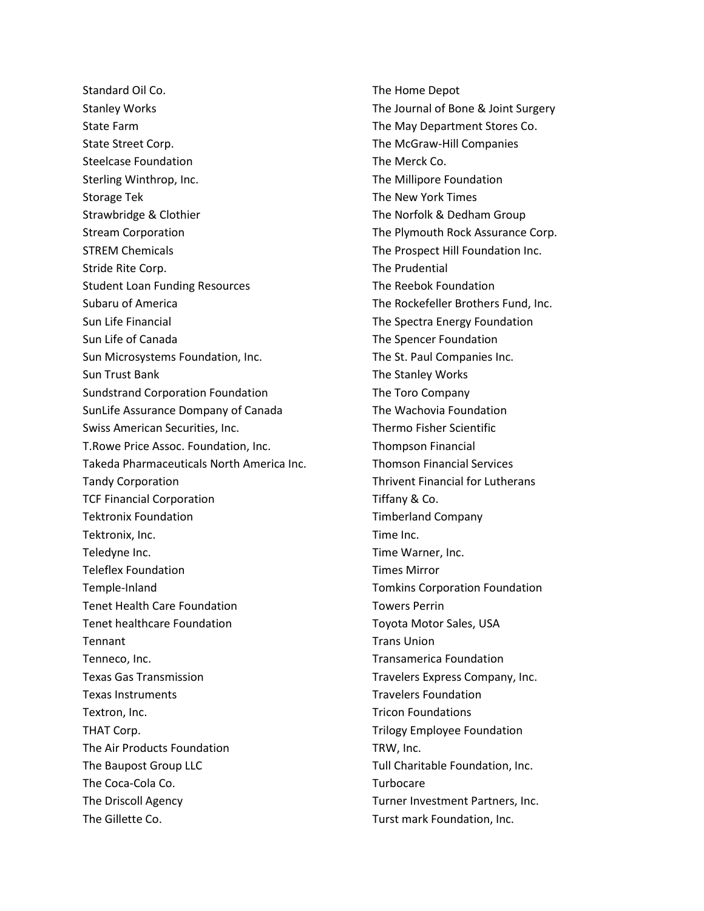Standard Oil Co. Stanley Works State Farm State Street Corp. Steelcase Foundation Sterling Winthrop, Inc. Storage Tek Strawbridge & Clothier Stream Corporation STREM Chemicals Stride Rite Corp. Student Loan Funding Resources Subaru of America Sun Life Financial Sun Life of Canada Sun Microsystems Foundation, Inc. Sun Trust Bank Sundstrand Corporation Foundation SunLife Assurance Dompany of Canada Swiss American Securities, Inc. T.Rowe Price Assoc. Foundation, Inc. Takeda Pharmaceuticals North America Inc. Tandy Corporation TCF Financial Corporation Tektronix Foundation Tektronix, Inc. Teledyne Inc. Teleflex Foundation Temple-Inland Tenet Health Care Foundation Tenet healthcare Foundation **Tennant** Tenneco, Inc. Texas Gas Transmission Texas Instruments Textron, Inc. THAT Corp. The Air Products Foundation The Baupost Group LLC The Coca-Cola Co. The Driscoll Agency The Gillette Co.

The Home Depot The Journal of Bone & Joint Surgery The May Department Stores Co. The McGraw-Hill Companies The Merck Co. The Millipore Foundation The New York Times The Norfolk & Dedham Group The Plymouth Rock Assurance Corp. The Prospect Hill Foundation Inc. The Prudential The Reebok Foundation The Rockefeller Brothers Fund, Inc. The Spectra Energy Foundation The Spencer Foundation The St. Paul Companies Inc. The Stanley Works The Toro Company The Wachovia Foundation Thermo Fisher Scientific Thompson Financial Thomson Financial Services Thrivent Financial for Lutherans Tiffany & Co. Timberland Company Time Inc. Time Warner, Inc. Times Mirror Tomkins Corporation Foundation Towers Perrin Toyota Motor Sales, USA Trans Union Transamerica Foundation Travelers Express Company, Inc. Travelers Foundation Tricon Foundations Trilogy Employee Foundation TRW, Inc. Tull Charitable Foundation, Inc. Turbocare Turner Investment Partners, Inc. Turst mark Foundation, Inc.